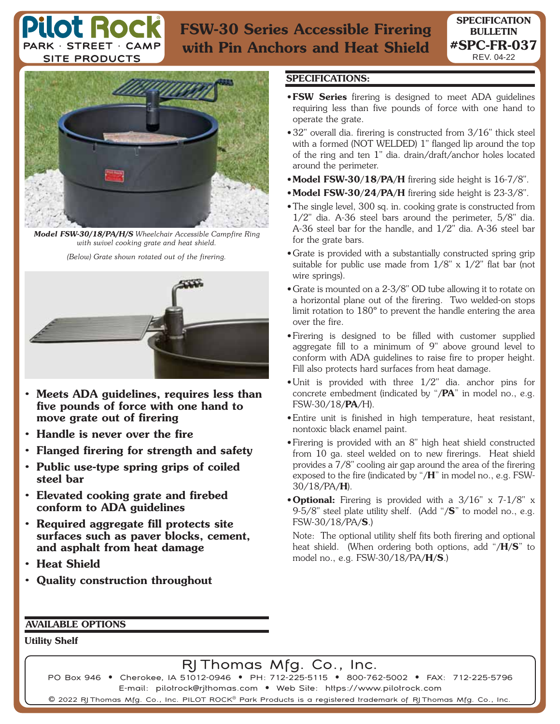## **FSW-30 Series Accessible Firering with Pin Anchors and Heat Shield**



ot Rod

PARK · STREET · CAME **SITE PRODUCTS** 

*Model FSW-30/18/PA/H/S Wheelchair Accessible Campfire Ring with swivel cooking grate and heat shield.*

*(Below) Grate shown rotated out of the firering.*



- **Meets ADA guidelines, requires less than five pounds of force with one hand to move grate out of firering**
- **Handle is never over the fire**
- **Flanged firering for strength and safety**
- **Public use-type spring grips of coiled steel bar**
- **Elevated cooking grate and firebed conform to ADA guidelines**
- **Required aggregate fill protects site surfaces such as paver blocks, cement, and asphalt from heat damage**
- **Heat Shield**
- **Quality construction throughout**

## **SPECIFICATIONS:**

- • **FSW Series** firering is designed to meet ADA guidelines requiring less than five pounds of force with one hand to operate the grate.
- 32" overall dia. firering is constructed from 3/16" thick steel with a formed (NOT WELDED) 1" flanged lip around the top of the ring and ten 1" dia. drain/draft/anchor holes located around the perimeter.
- **Model FSW-30/18/PA/H** firering side height is 16-7/8".
- **Model FSW-30/24/PA/H** firering side height is 23-3/8".
- The single level, 300 sq. in. cooking grate is constructed from 1/2" dia. A-36 steel bars around the perimeter, 5/8" dia. A-36 steel bar for the handle, and 1/2" dia. A-36 steel bar for the grate bars.
- Grate is provided with a substantially constructed spring grip suitable for public use made from 1/8" x 1/2" flat bar (not wire springs).
- Grate is mounted on a 2-3/8" OD tube allowing it to rotate on a horizontal plane out of the firering. Two welded-on stops limit rotation to 180º to prevent the handle entering the area over the fire.
- Firering is designed to be filled with customer supplied aggregate fill to a minimum of 9" above ground level to conform with ADA guidelines to raise fire to proper height. Fill also protects hard surfaces from heat damage.
- Unit is provided with three 1/2" dia. anchor pins for concrete embedment (indicated by "**/PA**" in model no., e.g. FSW-30/18**/PA**/H).
- Entire unit is finished in high temperature, heat resistant, nontoxic black enamel paint.
- Firering is provided with an 8" high heat shield constructed from 10 ga. steel welded on to new firerings. Heat shield provides a 7/8" cooling air gap around the area of the firering exposed to the fire (indicated by "**/H**" in model no., e.g. FSW-30/18/PA**/H**).
- **Optional:** Firering is provided with a 3/16" x 7-1/8" x 9-5/8" steel plate utility shelf. (Add "**/S**" to model no., e.g. FSW-30/18/PA**/S**.)

 Note: The optional utility shelf fits both firering and optional heat shield. (When ordering both options, add "**/H/S**" to model no., e.g. FSW-30/18/PA**/H/S**.)

## **AVAILABLE OPTIONS**

**Utility Shelf**

## RJ Thomas Mfg. Co., Inc.

PO Box 946 • Cherokee, IA 51012-0946 • PH: 712-225-5115 • 800-762-5002 • FAX: 712-225-5796 E-mail: pilotrock@rjthomas.com • Web Site: https://www.pilotrock.com  $\copyright$  2022 RJ Thomas Mfg. Co., Inc. PILOT ROCK $^\copyright$  Park Products is a registered trademark of RJ Thomas Mfg. Co., Inc.